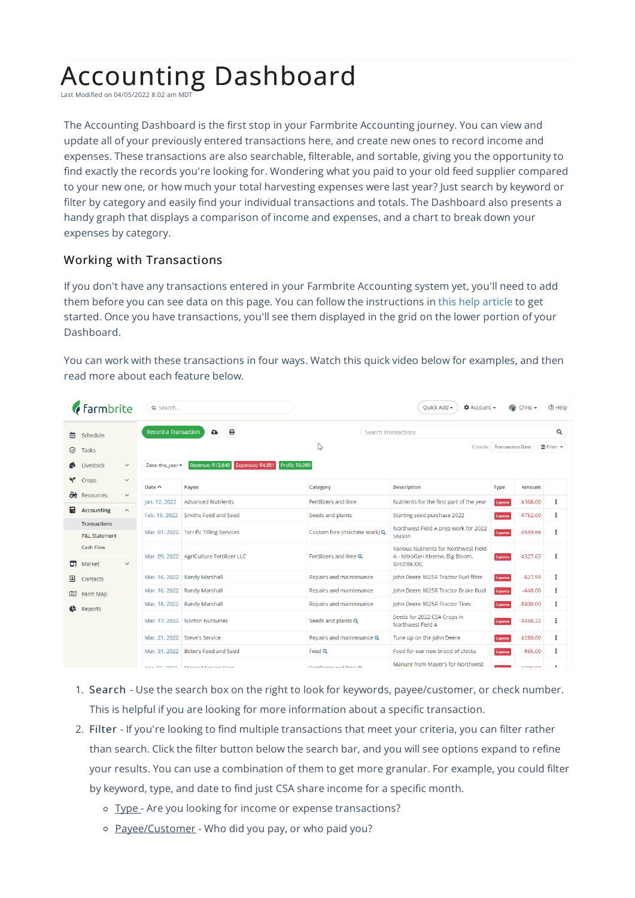## Accounting Dashboard

Last Modified on 04/05/2022 8:02 am MDT

The Accounting Dashboard is the first stop in your Farmbrite Accounting journey. You can view and update all of your previously entered transactions here, and create new ones to record income and expenses. These transactions are also searchable, filterable, and sortable, giving you the opportunity to find exactly the records you're looking for. Wondering what you paid to your old feed supplier compared to your new one, or how much your total harvesting expenses were last year? Just search by keyword or filter by category and easily find your individual transactions and totals. The Dashboard also presents a handy graph that displays a comparison of income and expenses, and a chart to break down your expenses by category.

## Working with Transactions

If you don't have any transactions entered in your Farmbrite Accounting system yet, you'll need to add them before you can see data on this page. You can follow the instructions in this help article to get started. Once you have transactions, you'll see them displayed in the grid on the lower portion of your Dashboard.

You can work with these transactions in four ways. Watch this quick video below for examples, and then read more about each feature below.

| <b><i>f</i></b> farmbrite |                          | Q Search                                      |                   | Ouick Add <del>▼</del><br>$\Delta$ Account $\sim$<br>$\bullet$ Chris $\bullet$ |                              |                                                                                          |             | ⊙ Help     |                   |
|---------------------------|--------------------------|-----------------------------------------------|-------------------|--------------------------------------------------------------------------------|------------------------------|------------------------------------------------------------------------------------------|-------------|------------|-------------------|
| 圇<br>Schedule             |                          | е<br><b>Record a Transaction</b><br>$\bullet$ |                   |                                                                                | <b>Search Transactions</b>   |                                                                                          | Q           |            |                   |
| ⊘                         | Tasks                    |                                               |                   |                                                                                | Ľ5                           | Criteria: Transaction Date                                                               |             |            | <b>E</b> Filter ▼ |
|                           | Livestock                | $\checkmark$                                  | Date: this year * | Profit: \$8,989<br>Revenue: \$13,840<br>Expenses: \$4,851                      |                              |                                                                                          |             |            |                   |
|                           | Crops                    | $\checkmark$                                  | Date $\sim$       | Payee<br>Category                                                              |                              | <b>Description</b>                                                                       | <b>Type</b> | Amount     |                   |
| $\mathbf{a}$              | Resources                | $\checkmark$                                  | Jan. 12, 2022     | <b>Advanced Nutrients</b>                                                      | Fertilizers and lime         | Nutrients for the first part of the year                                                 | Expense     | $-5368.00$ | ÷                 |
| 圖                         | <b>Accounting</b>        | $\boldsymbol{\wedge}$                         | Feb. 15, 2022     | Smiths Feed and Seed                                                           | Seeds and plants             | Starting seed purchase 2022                                                              |             | $-5752.00$ | i                 |
|                           | <b>Transactions</b>      |                                               |                   |                                                                                |                              |                                                                                          | Expense     |            |                   |
|                           | <b>P&amp;L Statement</b> |                                               |                   | Mar. 01, 2022 Terrific Tilling Services                                        | Custom hire (machine work) Q | Northwest Field A prep work for 2022<br>season                                           | Expense     | $-$539.66$ | ŧ                 |
| ᇚ                         | Cash Flow<br>Market      | $\vee$                                        |                   | Mar. 09, 2022 AgriCulture Fertilizer LLC                                       | Fertilizers and lime Q       | Various Nutrients for Northwest Field<br>A - NitroGen Xtreme, Big Bloom,<br>GroZilla XXL | Expense     | $-5327.65$ | ł                 |
| B                         | Contacts                 |                                               | Mar. 16, 2022     | Randy Marshall                                                                 | Repairs and maintenance      | John Deere 1025R Tractor Fuel filter                                                     | Expense     | $-527.99$  | ÷                 |
| œ                         | Farm Map                 |                                               | Mar. 16, 2022     | Randy Marshall                                                                 | Repairs and maintenance      | John Deere 1025R Tractor Brake fluid                                                     | Expense     | $-548.00$  | ÷                 |
|                           | <b>Reports</b>           |                                               | Mar. 16, 2022     | Randy Marshall                                                                 | Repairs and maintenance      | John Deere 1025R Tractor Tires                                                           | Expense     | $-$800.00$ | i                 |
|                           |                          |                                               | Mar. 17, 2022     | Norton Nursuries                                                               | Seeds and plants Q           | Seeds for 2022 CSA Crops in<br>Northwest Field A                                         | Expense     | $-$468.22$ | ÷                 |
|                           |                          |                                               | Mar. 21, 2022     | Steve's Service                                                                | Repairs and maintenance Q    | Tune up on the John Deere                                                                | Expense     | $-$280.00$ | ÷                 |
|                           |                          |                                               | Mar. 31, 2022     | Bobo's Feed and Seed                                                           | Feed Q                       | Food for our new brood of chicks                                                         | Expense     | $-$65.00$  | i                 |
|                           |                          |                                               |                   | Any OF DOOD. Maurice Manuel Corp.                                              | <b>Continuous and lime A</b> | Manure from Mayer's for Northwest                                                        |             | enno no    | ÷                 |

- 1. Search Use the search box on the right to look for keywords, payee/customer, or check number. This is helpful if you are looking for more information about a specific transaction.
- 2. Filter If you're looking to find multiple transactions that meet your criteria, you can filter rather than search. Click the filter button below the search bar, and you will see options expand to refine your results. You can use a combination of them to get more granular. For example, you could filter by keyword, type, and date to find just CSA share income for a specific month.
	- o Type Are you looking for income or expense transactions?
	- o Payee/Customer Who did you pay, or who paid you?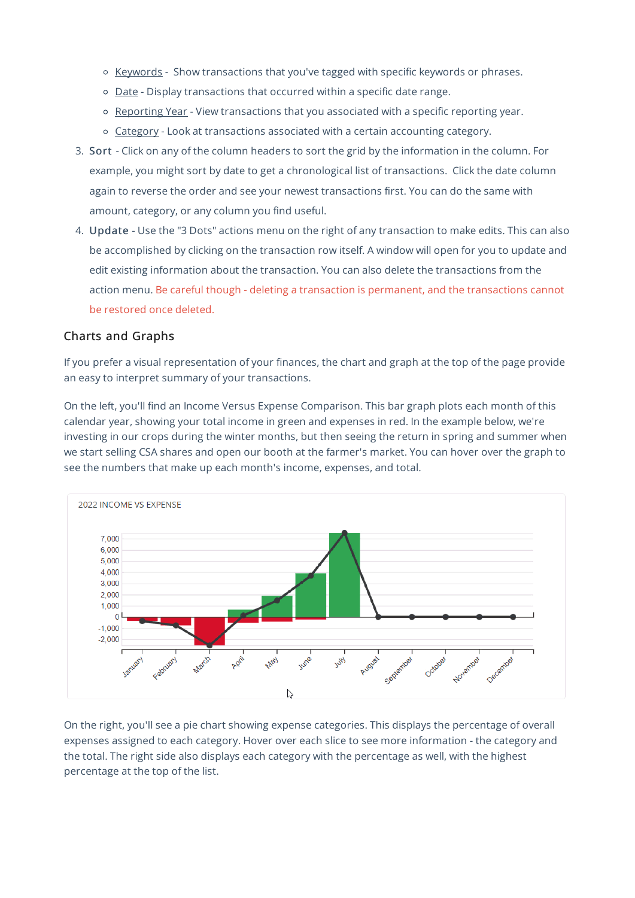- o Keywords Show transactions that you've tagged with specific keywords or phrases.
- Date Display transactions that occurred within a specific date range.
- o Reporting Year View transactions that you associated with a specific reporting year.
- o Category Look at transactions associated with a certain accounting category.
- 3. Sort Click on any of the column headers to sort the grid by the information in the column. For example, you might sort by date to get a chronological list of transactions. Click the date column again to reverse the order and see your newest transactions first. You can do the same with amount, category, or any column you find useful.
- 4. Update Use the "3 Dots" actions menu on the right of any transaction to make edits. This can also be accomplished by clicking on the transaction row itself. A window will open for you to update and edit existing information about the transaction. You can also delete the transactions from the action menu. Be careful though - deleting a transaction is permanent, and the transactions cannot be restored once deleted.

## Charts and Graphs

If you prefer a visual representation of your finances, the chart and graph at the top of the page provide an easy to interpret summary of your transactions.

On the left, you'll find an Income Versus Expense Comparison. This bar graph plots each month of this calendar year, showing your total income in green and expenses in red. In the example below, we're investing in our crops during the winter months, but then seeing the return in spring and summer when we start selling CSA shares and open our booth at the farmer's market. You can hover over the graph to see the numbers that make up each month's income, expenses, and total.



On the right, you'll see a pie chart showing expense categories. This displays the percentage of overall expenses assigned to each category. Hover over each slice to see more information - the category and the total. The right side also displays each category with the percentage as well, with the highest percentage at the top of the list.